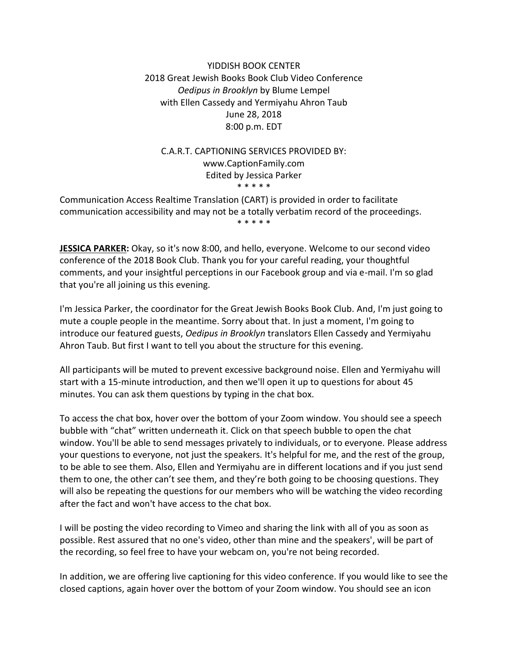## YIDDISH BOOK CENTER 2018 Great Jewish Books Book Club Video Conference *Oedipus in Brooklyn* by Blume Lempel with Ellen Cassedy and Yermiyahu Ahron Taub June 28, 2018 8:00 p.m. EDT

# C.A.R.T. CAPTIONING SERVICES PROVIDED BY: www.CaptionFamily.com Edited by Jessica Parker \* \* \* \* \*

Communication Access Realtime Translation (CART) is provided in order to facilitate communication accessibility and may not be a totally verbatim record of the proceedings. \* \* \* \* \*

**JESSICA PARKER:** Okay, so it's now 8:00, and hello, everyone. Welcome to our second video conference of the 2018 Book Club. Thank you for your careful reading, your thoughtful comments, and your insightful perceptions in our Facebook group and via e-mail. I'm so glad that you're all joining us this evening.

I'm Jessica Parker, the coordinator for the Great Jewish Books Book Club. And, I'm just going to mute a couple people in the meantime. Sorry about that. In just a moment, I'm going to introduce our featured guests, *Oedipus in Brooklyn* translators Ellen Cassedy and Yermiyahu Ahron Taub. But first I want to tell you about the structure for this evening.

All participants will be muted to prevent excessive background noise. Ellen and Yermiyahu will start with a 15-minute introduction, and then we'll open it up to questions for about 45 minutes. You can ask them questions by typing in the chat box.

To access the chat box, hover over the bottom of your Zoom window. You should see a speech bubble with "chat" written underneath it. Click on that speech bubble to open the chat window. You'll be able to send messages privately to individuals, or to everyone. Please address your questions to everyone, not just the speakers. It's helpful for me, and the rest of the group, to be able to see them. Also, Ellen and Yermiyahu are in different locations and if you just send them to one, the other can't see them, and they're both going to be choosing questions. They will also be repeating the questions for our members who will be watching the video recording after the fact and won't have access to the chat box.

I will be posting the video recording to Vimeo and sharing the link with all of you as soon as possible. Rest assured that no one's video, other than mine and the speakers', will be part of the recording, so feel free to have your webcam on, you're not being recorded.

In addition, we are offering live captioning for this video conference. If you would like to see the closed captions, again hover over the bottom of your Zoom window. You should see an icon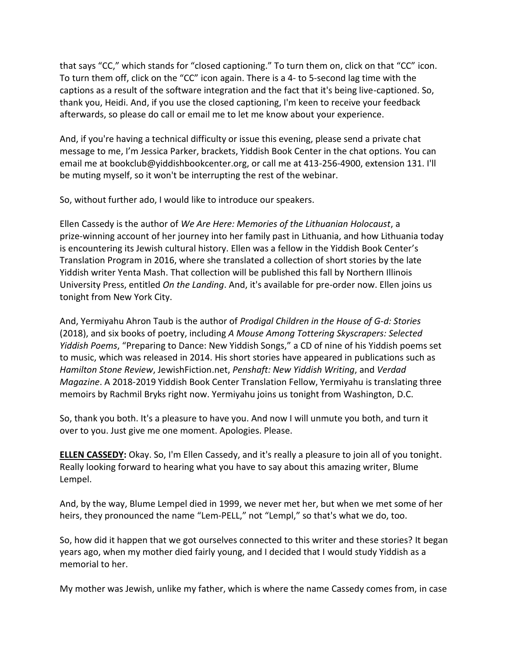that says "CC," which stands for "closed captioning." To turn them on, click on that "CC" icon. To turn them off, click on the "CC" icon again. There is a 4- to 5-second lag time with the captions as a result of the software integration and the fact that it's being live-captioned. So, thank you, Heidi. And, if you use the closed captioning, I'm keen to receive your feedback afterwards, so please do call or email me to let me know about your experience.

And, if you're having a technical difficulty or issue this evening, please send a private chat message to me, I'm Jessica Parker, brackets, Yiddish Book Center in the chat options. You can email me at bookclub@yiddishbookcenter.org, or call me at 413-256-4900, extension 131. I'll be muting myself, so it won't be interrupting the rest of the webinar.

So, without further ado, I would like to introduce our speakers.

Ellen Cassedy is the author of *We Are Here: Memories of the Lithuanian Holocaust*, a prize-winning account of her journey into her family past in Lithuania, and how Lithuania today is encountering its Jewish cultural history. Ellen was a fellow in the Yiddish Book Center's Translation Program in 2016, where she translated a collection of short stories by the late Yiddish writer Yenta Mash. That collection will be published this fall by Northern Illinois University Press, entitled *On the Landing*. And, it's available for pre-order now. Ellen joins us tonight from New York City.

And, Yermiyahu Ahron Taub is the author of *Prodigal Children in the House of G-d: Stories* (2018), and six books of poetry, including *A Mouse Among Tottering Skyscrapers: Selected Yiddish Poems*, "Preparing to Dance: New Yiddish Songs," a CD of nine of his Yiddish poems set to music, which was released in 2014. His short stories have appeared in publications such as *Hamilton Stone Review*, JewishFiction.net, *Penshaft: New Yiddish Writing*, and *Verdad Magazine*. A 2018-2019 Yiddish Book Center Translation Fellow, Yermiyahu is translating three memoirs by Rachmil Bryks right now. Yermiyahu joins us tonight from Washington, D.C.

So, thank you both. It's a pleasure to have you. And now I will unmute you both, and turn it over to you. Just give me one moment. Apologies. Please.

**ELLEN CASSEDY:** Okay. So, I'm Ellen Cassedy, and it's really a pleasure to join all of you tonight. Really looking forward to hearing what you have to say about this amazing writer, Blume Lempel.

And, by the way, Blume Lempel died in 1999, we never met her, but when we met some of her heirs, they pronounced the name "Lem-PELL," not "Lempl," so that's what we do, too.

So, how did it happen that we got ourselves connected to this writer and these stories? It began years ago, when my mother died fairly young, and I decided that I would study Yiddish as a memorial to her.

My mother was Jewish, unlike my father, which is where the name Cassedy comes from, in case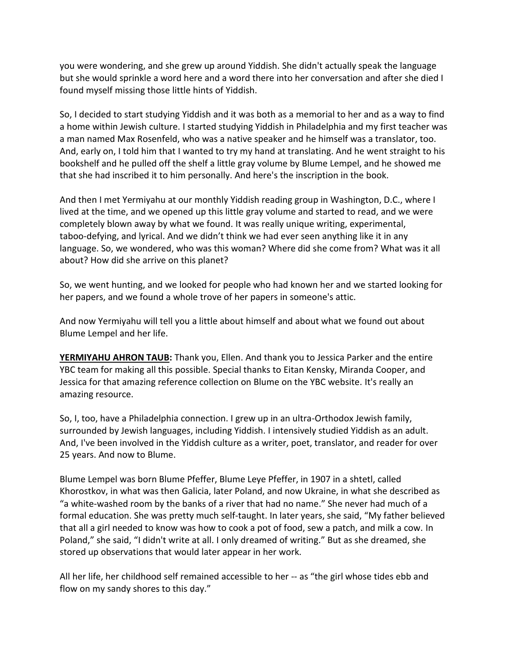you were wondering, and she grew up around Yiddish. She didn't actually speak the language but she would sprinkle a word here and a word there into her conversation and after she died I found myself missing those little hints of Yiddish.

So, I decided to start studying Yiddish and it was both as a memorial to her and as a way to find a home within Jewish culture. I started studying Yiddish in Philadelphia and my first teacher was a man named Max Rosenfeld, who was a native speaker and he himself was a translator, too. And, early on, I told him that I wanted to try my hand at translating. And he went straight to his bookshelf and he pulled off the shelf a little gray volume by Blume Lempel, and he showed me that she had inscribed it to him personally. And here's the inscription in the book.

And then I met Yermiyahu at our monthly Yiddish reading group in Washington, D.C., where I lived at the time, and we opened up this little gray volume and started to read, and we were completely blown away by what we found. It was really unique writing, experimental, taboo-defying, and lyrical. And we didn't think we had ever seen anything like it in any language. So, we wondered, who was this woman? Where did she come from? What was it all about? How did she arrive on this planet?

So, we went hunting, and we looked for people who had known her and we started looking for her papers, and we found a whole trove of her papers in someone's attic.

And now Yermiyahu will tell you a little about himself and about what we found out about Blume Lempel and her life.

**YERMIYAHU AHRON TAUB:** Thank you, Ellen. And thank you to Jessica Parker and the entire YBC team for making all this possible. Special thanks to Eitan Kensky, Miranda Cooper, and Jessica for that amazing reference collection on Blume on the YBC website. It's really an amazing resource.

So, I, too, have a Philadelphia connection. I grew up in an ultra-Orthodox Jewish family, surrounded by Jewish languages, including Yiddish. I intensively studied Yiddish as an adult. And, I've been involved in the Yiddish culture as a writer, poet, translator, and reader for over 25 years. And now to Blume.

Blume Lempel was born Blume Pfeffer, Blume Leye Pfeffer, in 1907 in a shtetl, called Khorostkov, in what was then Galicia, later Poland, and now Ukraine, in what she described as "a white-washed room by the banks of a river that had no name." She never had much of a formal education. She was pretty much self-taught. In later years, she said, "My father believed that all a girl needed to know was how to cook a pot of food, sew a patch, and milk a cow. In Poland," she said, "I didn't write at all. I only dreamed of writing." But as she dreamed, she stored up observations that would later appear in her work.

All her life, her childhood self remained accessible to her -- as "the girl whose tides ebb and flow on my sandy shores to this day."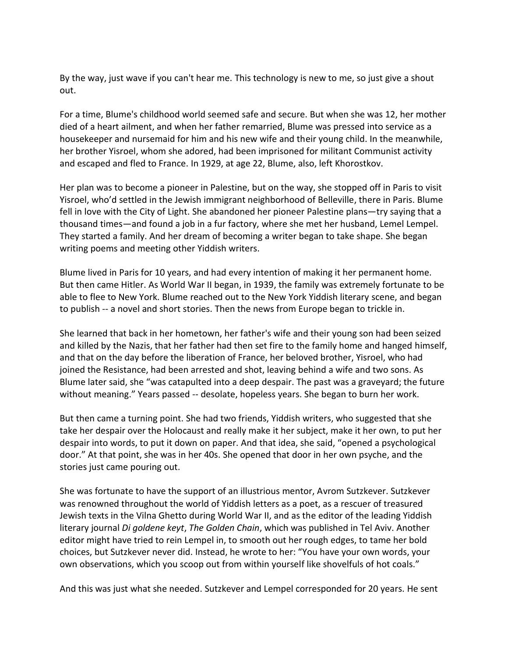By the way, just wave if you can't hear me. This technology is new to me, so just give a shout out.

For a time, Blume's childhood world seemed safe and secure. But when she was 12, her mother died of a heart ailment, and when her father remarried, Blume was pressed into service as a housekeeper and nursemaid for him and his new wife and their young child. In the meanwhile, her brother Yisroel, whom she adored, had been imprisoned for militant Communist activity and escaped and fled to France. In 1929, at age 22, Blume, also, left Khorostkov.

Her plan was to become a pioneer in Palestine, but on the way, she stopped off in Paris to visit Yisroel, who'd settled in the Jewish immigrant neighborhood of Belleville, there in Paris. Blume fell in love with the City of Light. She abandoned her pioneer Palestine plans—try saying that a thousand times—and found a job in a fur factory, where she met her husband, Lemel Lempel. They started a family. And her dream of becoming a writer began to take shape. She began writing poems and meeting other Yiddish writers.

Blume lived in Paris for 10 years, and had every intention of making it her permanent home. But then came Hitler. As World War II began, in 1939, the family was extremely fortunate to be able to flee to New York. Blume reached out to the New York Yiddish literary scene, and began to publish -- a novel and short stories. Then the news from Europe began to trickle in.

She learned that back in her hometown, her father's wife and their young son had been seized and killed by the Nazis, that her father had then set fire to the family home and hanged himself, and that on the day before the liberation of France, her beloved brother, Yisroel, who had joined the Resistance, had been arrested and shot, leaving behind a wife and two sons. As Blume later said, she "was catapulted into a deep despair. The past was a graveyard; the future without meaning." Years passed -- desolate, hopeless years. She began to burn her work.

But then came a turning point. She had two friends, Yiddish writers, who suggested that she take her despair over the Holocaust and really make it her subject, make it her own, to put her despair into words, to put it down on paper. And that idea, she said, "opened a psychological door." At that point, she was in her 40s. She opened that door in her own psyche, and the stories just came pouring out.

She was fortunate to have the support of an illustrious mentor, Avrom Sutzkever. Sutzkever was renowned throughout the world of Yiddish letters as a poet, as a rescuer of treasured Jewish texts in the Vilna Ghetto during World War II, and as the editor of the leading Yiddish literary journal *Di goldene keyt*, *The Golden Chain*, which was published in Tel Aviv. Another editor might have tried to rein Lempel in, to smooth out her rough edges, to tame her bold choices, but Sutzkever never did. Instead, he wrote to her: "You have your own words, your own observations, which you scoop out from within yourself like shovelfuls of hot coals."

And this was just what she needed. Sutzkever and Lempel corresponded for 20 years. He sent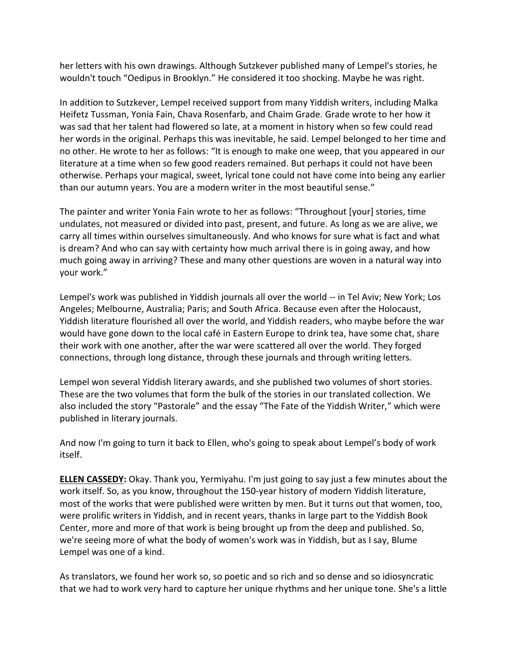her letters with his own drawings. Although Sutzkever published many of Lempel's stories, he wouldn't touch "Oedipus in Brooklyn." He considered it too shocking. Maybe he was right.

In addition to Sutzkever, Lempel received support from many Yiddish writers, including Malka Heifetz Tussman, Yonia Fain, Chava Rosenfarb, and Chaim Grade. Grade wrote to her how it was sad that her talent had flowered so late, at a moment in history when so few could read her words in the original. Perhaps this was inevitable, he said. Lempel belonged to her time and no other. He wrote to her as follows: "It is enough to make one weep, that you appeared in our literature at a time when so few good readers remained. But perhaps it could not have been otherwise. Perhaps your magical, sweet, lyrical tone could not have come into being any earlier than our autumn years. You are a modern writer in the most beautiful sense."

The painter and writer Yonia Fain wrote to her as follows: "Throughout [your] stories, time undulates, not measured or divided into past, present, and future. As long as we are alive, we carry all times within ourselves simultaneously. And who knows for sure what is fact and what is dream? And who can say with certainty how much arrival there is in going away, and how much going away in arriving? These and many other questions are woven in a natural way into your work."

Lempel's work was published in Yiddish journals all over the world -- in Tel Aviv; New York; Los Angeles; Melbourne, Australia; Paris; and South Africa. Because even after the Holocaust, Yiddish literature flourished all over the world, and Yiddish readers, who maybe before the war would have gone down to the local café in Eastern Europe to drink tea, have some chat, share their work with one another, after the war were scattered all over the world. They forged connections, through long distance, through these journals and through writing letters.

Lempel won several Yiddish literary awards, and she published two volumes of short stories. These are the two volumes that form the bulk of the stories in our translated collection. We also included the story "Pastorale" and the essay "The Fate of the Yiddish Writer," which were published in literary journals.

And now I'm going to turn it back to Ellen, who's going to speak about Lempel's body of work itself.

**ELLEN CASSEDY:** Okay. Thank you, Yermiyahu. I'm just going to say just a few minutes about the work itself. So, as you know, throughout the 150-year history of modern Yiddish literature, most of the works that were published were written by men. But it turns out that women, too, were prolific writers in Yiddish, and in recent years, thanks in large part to the Yiddish Book Center, more and more of that work is being brought up from the deep and published. So, we're seeing more of what the body of women's work was in Yiddish, but as I say, Blume Lempel was one of a kind.

As translators, we found her work so, so poetic and so rich and so dense and so idiosyncratic that we had to work very hard to capture her unique rhythms and her unique tone. She's a little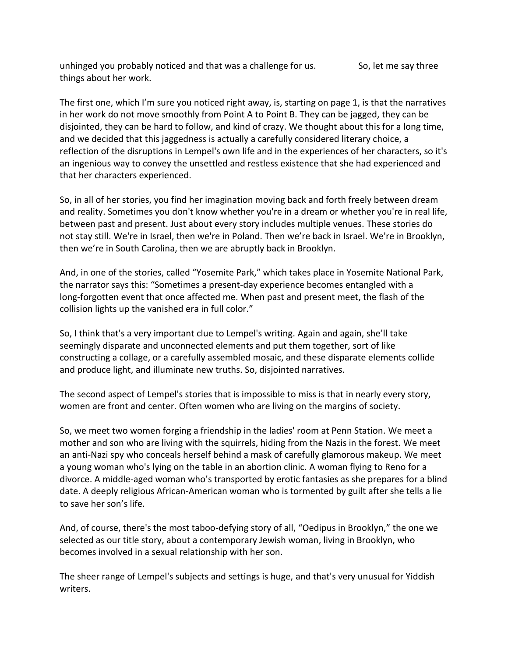unhinged you probably noticed and that was a challenge for us. So, let me say three things about her work.

The first one, which I'm sure you noticed right away, is, starting on page 1, is that the narratives in her work do not move smoothly from Point A to Point B. They can be jagged, they can be disjointed, they can be hard to follow, and kind of crazy. We thought about this for a long time, and we decided that this jaggedness is actually a carefully considered literary choice, a reflection of the disruptions in Lempel's own life and in the experiences of her characters, so it's an ingenious way to convey the unsettled and restless existence that she had experienced and that her characters experienced.

So, in all of her stories, you find her imagination moving back and forth freely between dream and reality. Sometimes you don't know whether you're in a dream or whether you're in real life, between past and present. Just about every story includes multiple venues. These stories do not stay still. We're in Israel, then we're in Poland. Then we're back in Israel. We're in Brooklyn, then we're in South Carolina, then we are abruptly back in Brooklyn.

And, in one of the stories, called "Yosemite Park," which takes place in Yosemite National Park, the narrator says this: "Sometimes a present-day experience becomes entangled with a long-forgotten event that once affected me. When past and present meet, the flash of the collision lights up the vanished era in full color."

So, I think that's a very important clue to Lempel's writing. Again and again, she'll take seemingly disparate and unconnected elements and put them together, sort of like constructing a collage, or a carefully assembled mosaic, and these disparate elements collide and produce light, and illuminate new truths. So, disjointed narratives.

The second aspect of Lempel's stories that is impossible to miss is that in nearly every story, women are front and center. Often women who are living on the margins of society.

So, we meet two women forging a friendship in the ladies' room at Penn Station. We meet a mother and son who are living with the squirrels, hiding from the Nazis in the forest. We meet an anti-Nazi spy who conceals herself behind a mask of carefully glamorous makeup. We meet a young woman who's lying on the table in an abortion clinic. A woman flying to Reno for a divorce. A middle-aged woman who's transported by erotic fantasies as she prepares for a blind date. A deeply religious African-American woman who is tormented by guilt after she tells a lie to save her son's life.

And, of course, there's the most taboo-defying story of all, "Oedipus in Brooklyn," the one we selected as our title story, about a contemporary Jewish woman, living in Brooklyn, who becomes involved in a sexual relationship with her son.

The sheer range of Lempel's subjects and settings is huge, and that's very unusual for Yiddish writers.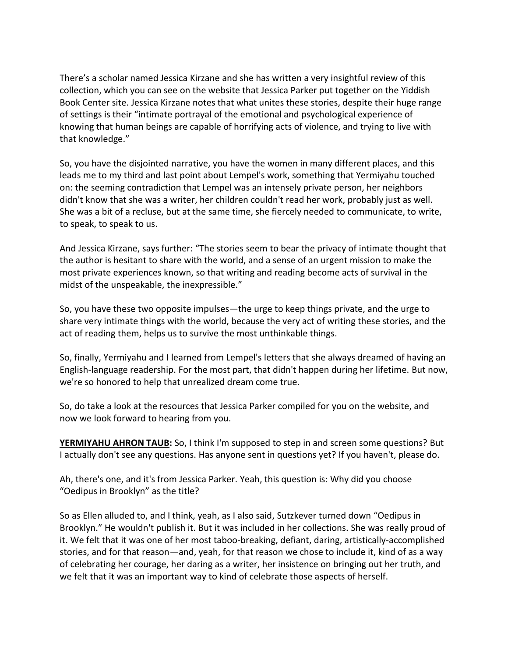There's a scholar named Jessica Kirzane and she has written a very insightful review of this collection, which you can see on the website that Jessica Parker put together on the Yiddish Book Center site. Jessica Kirzane notes that what unites these stories, despite their huge range of settings is their "intimate portrayal of the emotional and psychological experience of knowing that human beings are capable of horrifying acts of violence, and trying to live with that knowledge."

So, you have the disjointed narrative, you have the women in many different places, and this leads me to my third and last point about Lempel's work, something that Yermiyahu touched on: the seeming contradiction that Lempel was an intensely private person, her neighbors didn't know that she was a writer, her children couldn't read her work, probably just as well. She was a bit of a recluse, but at the same time, she fiercely needed to communicate, to write, to speak, to speak to us.

And Jessica Kirzane, says further: "The stories seem to bear the privacy of intimate thought that the author is hesitant to share with the world, and a sense of an urgent mission to make the most private experiences known, so that writing and reading become acts of survival in the midst of the unspeakable, the inexpressible."

So, you have these two opposite impulses—the urge to keep things private, and the urge to share very intimate things with the world, because the very act of writing these stories, and the act of reading them, helps us to survive the most unthinkable things.

So, finally, Yermiyahu and I learned from Lempel's letters that she always dreamed of having an English-language readership. For the most part, that didn't happen during her lifetime. But now, we're so honored to help that unrealized dream come true.

So, do take a look at the resources that Jessica Parker compiled for you on the website, and now we look forward to hearing from you.

**YERMIYAHU AHRON TAUB:** So, I think I'm supposed to step in and screen some questions? But I actually don't see any questions. Has anyone sent in questions yet? If you haven't, please do.

Ah, there's one, and it's from Jessica Parker. Yeah, this question is: Why did you choose "Oedipus in Brooklyn" as the title?

So as Ellen alluded to, and I think, yeah, as I also said, Sutzkever turned down "Oedipus in Brooklyn." He wouldn't publish it. But it was included in her collections. She was really proud of it. We felt that it was one of her most taboo-breaking, defiant, daring, artistically-accomplished stories, and for that reason—and, yeah, for that reason we chose to include it, kind of as a way of celebrating her courage, her daring as a writer, her insistence on bringing out her truth, and we felt that it was an important way to kind of celebrate those aspects of herself.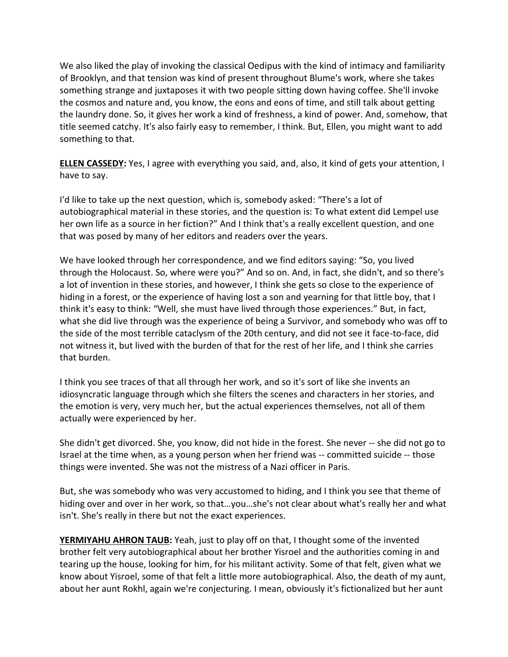We also liked the play of invoking the classical Oedipus with the kind of intimacy and familiarity of Brooklyn, and that tension was kind of present throughout Blume's work, where she takes something strange and juxtaposes it with two people sitting down having coffee. She'll invoke the cosmos and nature and, you know, the eons and eons of time, and still talk about getting the laundry done. So, it gives her work a kind of freshness, a kind of power. And, somehow, that title seemed catchy. It's also fairly easy to remember, I think. But, Ellen, you might want to add something to that.

**ELLEN CASSEDY:** Yes, I agree with everything you said, and, also, it kind of gets your attention, I have to say.

I'd like to take up the next question, which is, somebody asked: "There's a lot of autobiographical material in these stories, and the question is: To what extent did Lempel use her own life as a source in her fiction?" And I think that's a really excellent question, and one that was posed by many of her editors and readers over the years.

We have looked through her correspondence, and we find editors saying: "So, you lived through the Holocaust. So, where were you?" And so on. And, in fact, she didn't, and so there's a lot of invention in these stories, and however, I think she gets so close to the experience of hiding in a forest, or the experience of having lost a son and yearning for that little boy, that I think it's easy to think: "Well, she must have lived through those experiences." But, in fact, what she did live through was the experience of being a Survivor, and somebody who was off to the side of the most terrible cataclysm of the 20th century, and did not see it face-to-face, did not witness it, but lived with the burden of that for the rest of her life, and I think she carries that burden.

I think you see traces of that all through her work, and so it's sort of like she invents an idiosyncratic language through which she filters the scenes and characters in her stories, and the emotion is very, very much her, but the actual experiences themselves, not all of them actually were experienced by her.

She didn't get divorced. She, you know, did not hide in the forest. She never -- she did not go to Israel at the time when, as a young person when her friend was -- committed suicide -- those things were invented. She was not the mistress of a Nazi officer in Paris.

But, she was somebody who was very accustomed to hiding, and I think you see that theme of hiding over and over in her work, so that…you…she's not clear about what's really her and what isn't. She's really in there but not the exact experiences.

**YERMIYAHU AHRON TAUB:** Yeah, just to play off on that, I thought some of the invented brother felt very autobiographical about her brother Yisroel and the authorities coming in and tearing up the house, looking for him, for his militant activity. Some of that felt, given what we know about Yisroel, some of that felt a little more autobiographical. Also, the death of my aunt, about her aunt Rokhl, again we're conjecturing. I mean, obviously it's fictionalized but her aunt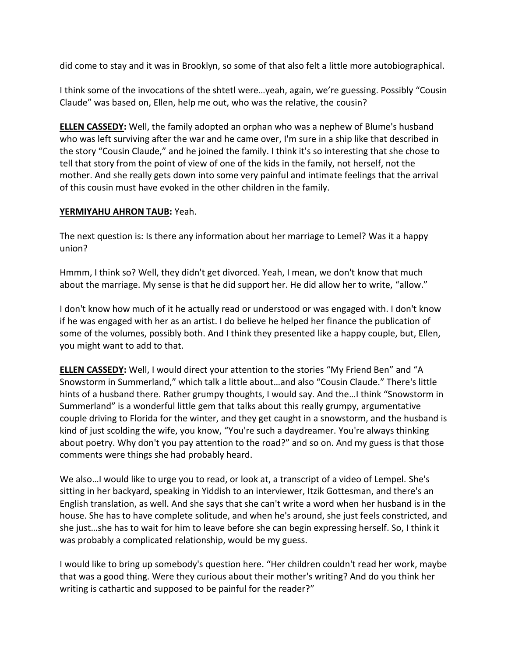did come to stay and it was in Brooklyn, so some of that also felt a little more autobiographical.

I think some of the invocations of the shtetl were…yeah, again, we're guessing. Possibly "Cousin Claude" was based on, Ellen, help me out, who was the relative, the cousin?

**ELLEN CASSEDY:** Well, the family adopted an orphan who was a nephew of Blume's husband who was left surviving after the war and he came over, I'm sure in a ship like that described in the story "Cousin Claude," and he joined the family. I think it's so interesting that she chose to tell that story from the point of view of one of the kids in the family, not herself, not the mother. And she really gets down into some very painful and intimate feelings that the arrival of this cousin must have evoked in the other children in the family.

### **YERMIYAHU AHRON TAUB:** Yeah.

The next question is: Is there any information about her marriage to Lemel? Was it a happy union?

Hmmm, I think so? Well, they didn't get divorced. Yeah, I mean, we don't know that much about the marriage. My sense is that he did support her. He did allow her to write, "allow."

I don't know how much of it he actually read or understood or was engaged with. I don't know if he was engaged with her as an artist. I do believe he helped her finance the publication of some of the volumes, possibly both. And I think they presented like a happy couple, but, Ellen, you might want to add to that.

**ELLEN CASSEDY:** Well, I would direct your attention to the stories "My Friend Ben" and "A Snowstorm in Summerland," which talk a little about…and also "Cousin Claude." There's little hints of a husband there. Rather grumpy thoughts, I would say. And the…I think "Snowstorm in Summerland" is a wonderful little gem that talks about this really grumpy, argumentative couple driving to Florida for the winter, and they get caught in a snowstorm, and the husband is kind of just scolding the wife, you know, "You're such a daydreamer. You're always thinking about poetry. Why don't you pay attention to the road?" and so on. And my guess is that those comments were things she had probably heard.

We also…I would like to urge you to read, or look at, a transcript of a video of Lempel. She's sitting in her backyard, speaking in Yiddish to an interviewer, Itzik Gottesman, and there's an English translation, as well. And she says that she can't write a word when her husband is in the house. She has to have complete solitude, and when he's around, she just feels constricted, and she just…she has to wait for him to leave before she can begin expressing herself. So, I think it was probably a complicated relationship, would be my guess.

I would like to bring up somebody's question here. "Her children couldn't read her work, maybe that was a good thing. Were they curious about their mother's writing? And do you think her writing is cathartic and supposed to be painful for the reader?"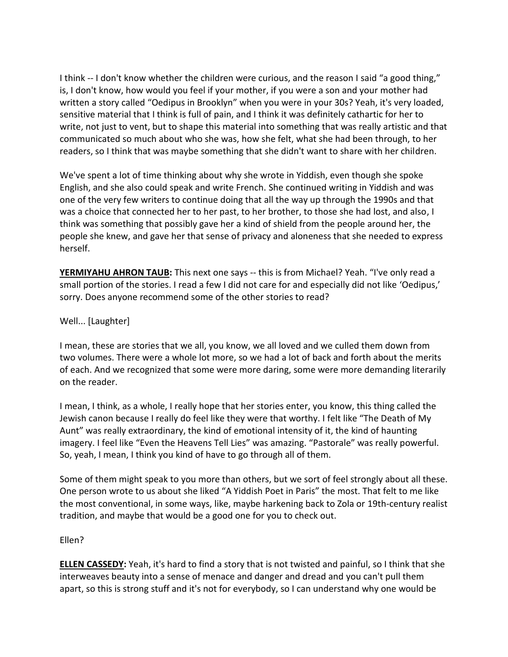I think -- I don't know whether the children were curious, and the reason I said "a good thing," is, I don't know, how would you feel if your mother, if you were a son and your mother had written a story called "Oedipus in Brooklyn" when you were in your 30s? Yeah, it's very loaded, sensitive material that I think is full of pain, and I think it was definitely cathartic for her to write, not just to vent, but to shape this material into something that was really artistic and that communicated so much about who she was, how she felt, what she had been through, to her readers, so I think that was maybe something that she didn't want to share with her children.

We've spent a lot of time thinking about why she wrote in Yiddish, even though she spoke English, and she also could speak and write French. She continued writing in Yiddish and was one of the very few writers to continue doing that all the way up through the 1990s and that was a choice that connected her to her past, to her brother, to those she had lost, and also, I think was something that possibly gave her a kind of shield from the people around her, the people she knew, and gave her that sense of privacy and aloneness that she needed to express herself.

**YERMIYAHU AHRON TAUB:** This next one says -- this is from Michael? Yeah. "I've only read a small portion of the stories. I read a few I did not care for and especially did not like 'Oedipus,' sorry. Does anyone recommend some of the other stories to read?

### Well... [Laughter]

I mean, these are stories that we all, you know, we all loved and we culled them down from two volumes. There were a whole lot more, so we had a lot of back and forth about the merits of each. And we recognized that some were more daring, some were more demanding literarily on the reader.

I mean, I think, as a whole, I really hope that her stories enter, you know, this thing called the Jewish canon because I really do feel like they were that worthy. I felt like "The Death of My Aunt" was really extraordinary, the kind of emotional intensity of it, the kind of haunting imagery. I feel like "Even the Heavens Tell Lies" was amazing. "Pastorale" was really powerful. So, yeah, I mean, I think you kind of have to go through all of them.

Some of them might speak to you more than others, but we sort of feel strongly about all these. One person wrote to us about she liked "A Yiddish Poet in Paris" the most. That felt to me like the most conventional, in some ways, like, maybe harkening back to Zola or 19th-century realist tradition, and maybe that would be a good one for you to check out.

#### Ellen?

**ELLEN CASSEDY:** Yeah, it's hard to find a story that is not twisted and painful, so I think that she interweaves beauty into a sense of menace and danger and dread and you can't pull them apart, so this is strong stuff and it's not for everybody, so I can understand why one would be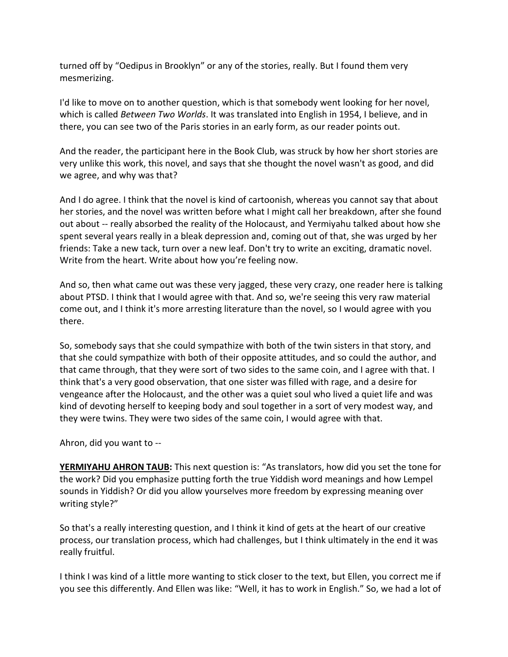turned off by "Oedipus in Brooklyn" or any of the stories, really. But I found them very mesmerizing.

I'd like to move on to another question, which is that somebody went looking for her novel, which is called *Between Two Worlds*. It was translated into English in 1954, I believe, and in there, you can see two of the Paris stories in an early form, as our reader points out.

And the reader, the participant here in the Book Club, was struck by how her short stories are very unlike this work, this novel, and says that she thought the novel wasn't as good, and did we agree, and why was that?

And I do agree. I think that the novel is kind of cartoonish, whereas you cannot say that about her stories, and the novel was written before what I might call her breakdown, after she found out about -- really absorbed the reality of the Holocaust, and Yermiyahu talked about how she spent several years really in a bleak depression and, coming out of that, she was urged by her friends: Take a new tack, turn over a new leaf. Don't try to write an exciting, dramatic novel. Write from the heart. Write about how you're feeling now.

And so, then what came out was these very jagged, these very crazy, one reader here is talking about PTSD. I think that I would agree with that. And so, we're seeing this very raw material come out, and I think it's more arresting literature than the novel, so I would agree with you there.

So, somebody says that she could sympathize with both of the twin sisters in that story, and that she could sympathize with both of their opposite attitudes, and so could the author, and that came through, that they were sort of two sides to the same coin, and I agree with that. I think that's a very good observation, that one sister was filled with rage, and a desire for vengeance after the Holocaust, and the other was a quiet soul who lived a quiet life and was kind of devoting herself to keeping body and soul together in a sort of very modest way, and they were twins. They were two sides of the same coin, I would agree with that.

Ahron, did you want to --

**YERMIYAHU AHRON TAUB:** This next question is: "As translators, how did you set the tone for the work? Did you emphasize putting forth the true Yiddish word meanings and how Lempel sounds in Yiddish? Or did you allow yourselves more freedom by expressing meaning over writing style?"

So that's a really interesting question, and I think it kind of gets at the heart of our creative process, our translation process, which had challenges, but I think ultimately in the end it was really fruitful.

I think I was kind of a little more wanting to stick closer to the text, but Ellen, you correct me if you see this differently. And Ellen was like: "Well, it has to work in English." So, we had a lot of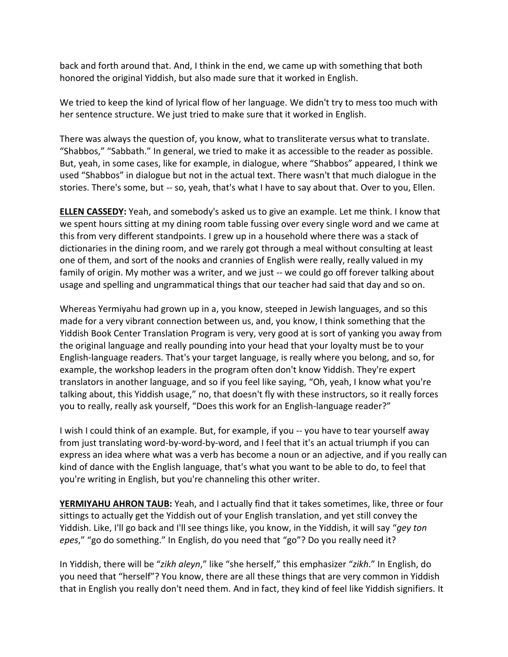back and forth around that. And, I think in the end, we came up with something that both honored the original Yiddish, but also made sure that it worked in English.

We tried to keep the kind of lyrical flow of her language. We didn't try to mess too much with her sentence structure. We just tried to make sure that it worked in English.

There was always the question of, you know, what to transliterate versus what to translate. "Shabbos," "Sabbath." In general, we tried to make it as accessible to the reader as possible. But, yeah, in some cases, like for example, in dialogue, where "Shabbos" appeared, I think we used "Shabbos" in dialogue but not in the actual text. There wasn't that much dialogue in the stories. There's some, but -- so, yeah, that's what I have to say about that. Over to you, Ellen.

**ELLEN CASSEDY:** Yeah, and somebody's asked us to give an example. Let me think. I know that we spent hours sitting at my dining room table fussing over every single word and we came at this from very different standpoints. I grew up in a household where there was a stack of dictionaries in the dining room, and we rarely got through a meal without consulting at least one of them, and sort of the nooks and crannies of English were really, really valued in my family of origin. My mother was a writer, and we just -- we could go off forever talking about usage and spelling and ungrammatical things that our teacher had said that day and so on.

Whereas Yermiyahu had grown up in a, you know, steeped in Jewish languages, and so this made for a very vibrant connection between us, and, you know, I think something that the Yiddish Book Center Translation Program is very, very good at is sort of yanking you away from the original language and really pounding into your head that your loyalty must be to your English-language readers. That's your target language, is really where you belong, and so, for example, the workshop leaders in the program often don't know Yiddish. They're expert translators in another language, and so if you feel like saying, "Oh, yeah, I know what you're talking about, this Yiddish usage," no, that doesn't fly with these instructors, so it really forces you to really, really ask yourself, "Does this work for an English-language reader?"

I wish I could think of an example. But, for example, if you -- you have to tear yourself away from just translating word-by-word-by-word, and I feel that it's an actual triumph if you can express an idea where what was a verb has become a noun or an adjective, and if you really can kind of dance with the English language, that's what you want to be able to do, to feel that you're writing in English, but you're channeling this other writer.

**YERMIYAHU AHRON TAUB:** Yeah, and I actually find that it takes sometimes, like, three or four sittings to actually get the Yiddish out of your English translation, and yet still convey the Yiddish. Like, I'll go back and I'll see things like, you know, in the Yiddish, it will say "*gey ton epes*," "go do something." In English, do you need that "go"? Do you really need it?

In Yiddish, there will be "*zikh aleyn*," like "she herself," this emphasizer "*zikh*." In English, do you need that "herself"? You know, there are all these things that are very common in Yiddish that in English you really don't need them. And in fact, they kind of feel like Yiddish signifiers. It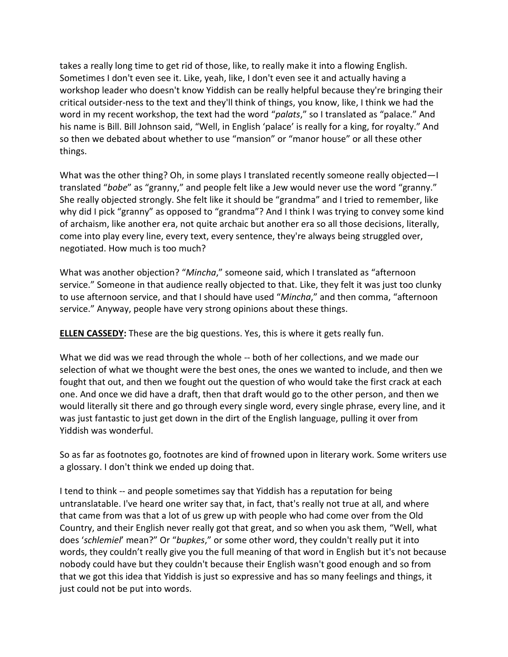takes a really long time to get rid of those, like, to really make it into a flowing English. Sometimes I don't even see it. Like, yeah, like, I don't even see it and actually having a workshop leader who doesn't know Yiddish can be really helpful because they're bringing their critical outsider-ness to the text and they'll think of things, you know, like, I think we had the word in my recent workshop, the text had the word "*palats*," so I translated as "palace." And his name is Bill. Bill Johnson said, "Well, in English 'palace' is really for a king, for royalty." And so then we debated about whether to use "mansion" or "manor house" or all these other things.

What was the other thing? Oh, in some plays I translated recently someone really objected—I translated "*bobe*" as "granny," and people felt like a Jew would never use the word "granny." She really objected strongly. She felt like it should be "grandma" and I tried to remember, like why did I pick "granny" as opposed to "grandma"? And I think I was trying to convey some kind of archaism, like another era, not quite archaic but another era so all those decisions, literally, come into play every line, every text, every sentence, they're always being struggled over, negotiated. How much is too much?

What was another objection? "*Mincha*," someone said, which I translated as "afternoon service." Someone in that audience really objected to that. Like, they felt it was just too clunky to use afternoon service, and that I should have used "*Mincha*," and then comma, "afternoon service." Anyway, people have very strong opinions about these things.

**ELLEN CASSEDY:** These are the big questions. Yes, this is where it gets really fun.

What we did was we read through the whole -- both of her collections, and we made our selection of what we thought were the best ones, the ones we wanted to include, and then we fought that out, and then we fought out the question of who would take the first crack at each one. And once we did have a draft, then that draft would go to the other person, and then we would literally sit there and go through every single word, every single phrase, every line, and it was just fantastic to just get down in the dirt of the English language, pulling it over from Yiddish was wonderful.

So as far as footnotes go, footnotes are kind of frowned upon in literary work. Some writers use a glossary. I don't think we ended up doing that.

I tend to think -- and people sometimes say that Yiddish has a reputation for being untranslatable. I've heard one writer say that, in fact, that's really not true at all, and where that came from was that a lot of us grew up with people who had come over from the Old Country, and their English never really got that great, and so when you ask them, "Well, what does '*schlemiel*' mean?" Or "*bupkes*," or some other word, they couldn't really put it into words, they couldn't really give you the full meaning of that word in English but it's not because nobody could have but they couldn't because their English wasn't good enough and so from that we got this idea that Yiddish is just so expressive and has so many feelings and things, it just could not be put into words.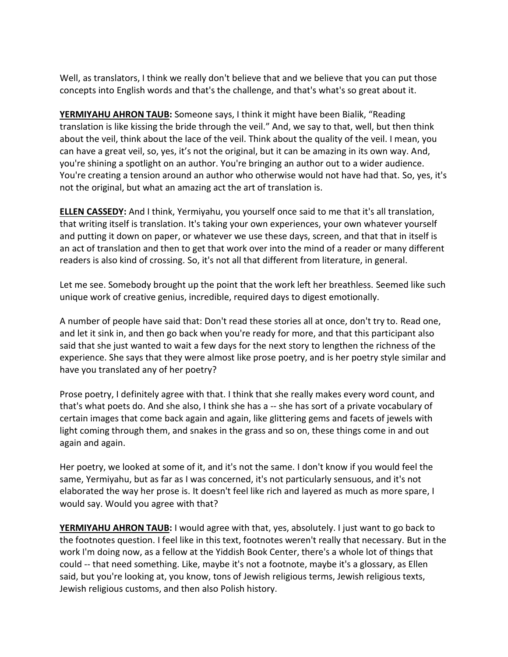Well, as translators, I think we really don't believe that and we believe that you can put those concepts into English words and that's the challenge, and that's what's so great about it.

**YERMIYAHU AHRON TAUB:** Someone says, I think it might have been Bialik, "Reading translation is like kissing the bride through the veil." And, we say to that, well, but then think about the veil, think about the lace of the veil. Think about the quality of the veil. I mean, you can have a great veil, so, yes, it's not the original, but it can be amazing in its own way. And, you're shining a spotlight on an author. You're bringing an author out to a wider audience. You're creating a tension around an author who otherwise would not have had that. So, yes, it's not the original, but what an amazing act the art of translation is.

**ELLEN CASSEDY:** And I think, Yermiyahu, you yourself once said to me that it's all translation, that writing itself is translation. It's taking your own experiences, your own whatever yourself and putting it down on paper, or whatever we use these days, screen, and that that in itself is an act of translation and then to get that work over into the mind of a reader or many different readers is also kind of crossing. So, it's not all that different from literature, in general.

Let me see. Somebody brought up the point that the work left her breathless. Seemed like such unique work of creative genius, incredible, required days to digest emotionally.

A number of people have said that: Don't read these stories all at once, don't try to. Read one, and let it sink in, and then go back when you're ready for more, and that this participant also said that she just wanted to wait a few days for the next story to lengthen the richness of the experience. She says that they were almost like prose poetry, and is her poetry style similar and have you translated any of her poetry?

Prose poetry, I definitely agree with that. I think that she really makes every word count, and that's what poets do. And she also, I think she has a -- she has sort of a private vocabulary of certain images that come back again and again, like glittering gems and facets of jewels with light coming through them, and snakes in the grass and so on, these things come in and out again and again.

Her poetry, we looked at some of it, and it's not the same. I don't know if you would feel the same, Yermiyahu, but as far as I was concerned, it's not particularly sensuous, and it's not elaborated the way her prose is. It doesn't feel like rich and layered as much as more spare, I would say. Would you agree with that?

**YERMIYAHU AHRON TAUB:** I would agree with that, yes, absolutely. I just want to go back to the footnotes question. I feel like in this text, footnotes weren't really that necessary. But in the work I'm doing now, as a fellow at the Yiddish Book Center, there's a whole lot of things that could -- that need something. Like, maybe it's not a footnote, maybe it's a glossary, as Ellen said, but you're looking at, you know, tons of Jewish religious terms, Jewish religious texts, Jewish religious customs, and then also Polish history.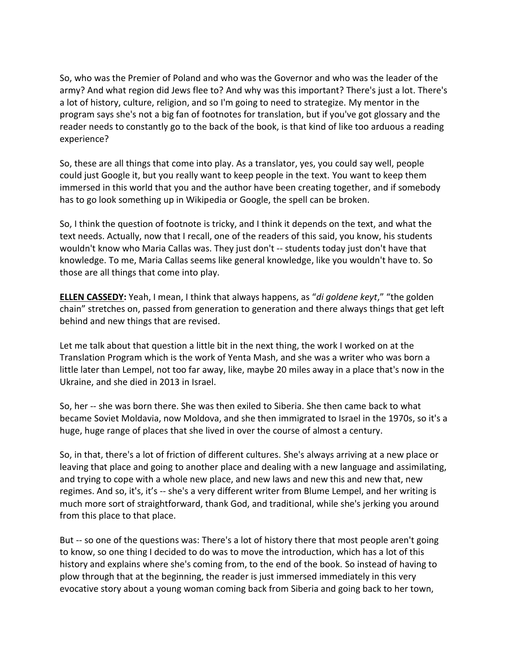So, who was the Premier of Poland and who was the Governor and who was the leader of the army? And what region did Jews flee to? And why was this important? There's just a lot. There's a lot of history, culture, religion, and so I'm going to need to strategize. My mentor in the program says she's not a big fan of footnotes for translation, but if you've got glossary and the reader needs to constantly go to the back of the book, is that kind of like too arduous a reading experience?

So, these are all things that come into play. As a translator, yes, you could say well, people could just Google it, but you really want to keep people in the text. You want to keep them immersed in this world that you and the author have been creating together, and if somebody has to go look something up in Wikipedia or Google, the spell can be broken.

So, I think the question of footnote is tricky, and I think it depends on the text, and what the text needs. Actually, now that I recall, one of the readers of this said, you know, his students wouldn't know who Maria Callas was. They just don't -- students today just don't have that knowledge. To me, Maria Callas seems like general knowledge, like you wouldn't have to. So those are all things that come into play.

**ELLEN CASSEDY:** Yeah, I mean, I think that always happens, as "*di goldene keyt*," "the golden chain" stretches on, passed from generation to generation and there always things that get left behind and new things that are revised.

Let me talk about that question a little bit in the next thing, the work I worked on at the Translation Program which is the work of Yenta Mash, and she was a writer who was born a little later than Lempel, not too far away, like, maybe 20 miles away in a place that's now in the Ukraine, and she died in 2013 in Israel.

So, her -- she was born there. She was then exiled to Siberia. She then came back to what became Soviet Moldavia, now Moldova, and she then immigrated to Israel in the 1970s, so it's a huge, huge range of places that she lived in over the course of almost a century.

So, in that, there's a lot of friction of different cultures. She's always arriving at a new place or leaving that place and going to another place and dealing with a new language and assimilating, and trying to cope with a whole new place, and new laws and new this and new that, new regimes. And so, it's, it's -- she's a very different writer from Blume Lempel, and her writing is much more sort of straightforward, thank God, and traditional, while she's jerking you around from this place to that place.

But -- so one of the questions was: There's a lot of history there that most people aren't going to know, so one thing I decided to do was to move the introduction, which has a lot of this history and explains where she's coming from, to the end of the book. So instead of having to plow through that at the beginning, the reader is just immersed immediately in this very evocative story about a young woman coming back from Siberia and going back to her town,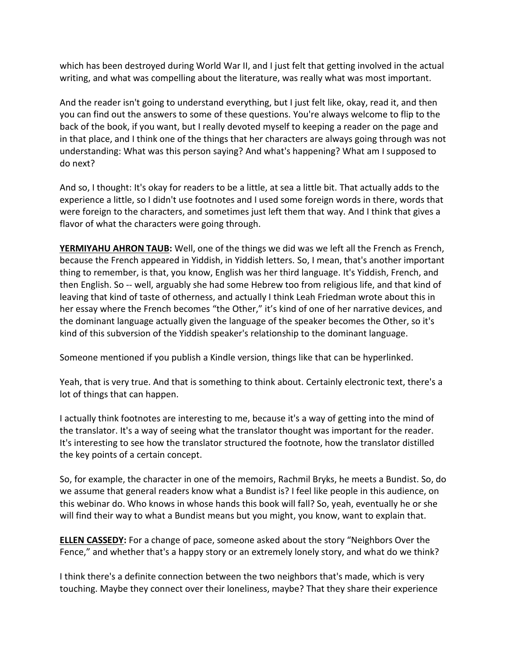which has been destroyed during World War II, and I just felt that getting involved in the actual writing, and what was compelling about the literature, was really what was most important.

And the reader isn't going to understand everything, but I just felt like, okay, read it, and then you can find out the answers to some of these questions. You're always welcome to flip to the back of the book, if you want, but I really devoted myself to keeping a reader on the page and in that place, and I think one of the things that her characters are always going through was not understanding: What was this person saying? And what's happening? What am I supposed to do next?

And so, I thought: It's okay for readers to be a little, at sea a little bit. That actually adds to the experience a little, so I didn't use footnotes and I used some foreign words in there, words that were foreign to the characters, and sometimes just left them that way. And I think that gives a flavor of what the characters were going through.

**YERMIYAHU AHRON TAUB:** Well, one of the things we did was we left all the French as French, because the French appeared in Yiddish, in Yiddish letters. So, I mean, that's another important thing to remember, is that, you know, English was her third language. It's Yiddish, French, and then English. So -- well, arguably she had some Hebrew too from religious life, and that kind of leaving that kind of taste of otherness, and actually I think Leah Friedman wrote about this in her essay where the French becomes "the Other," it's kind of one of her narrative devices, and the dominant language actually given the language of the speaker becomes the Other, so it's kind of this subversion of the Yiddish speaker's relationship to the dominant language.

Someone mentioned if you publish a Kindle version, things like that can be hyperlinked.

Yeah, that is very true. And that is something to think about. Certainly electronic text, there's a lot of things that can happen.

I actually think footnotes are interesting to me, because it's a way of getting into the mind of the translator. It's a way of seeing what the translator thought was important for the reader. It's interesting to see how the translator structured the footnote, how the translator distilled the key points of a certain concept.

So, for example, the character in one of the memoirs, Rachmil Bryks, he meets a Bundist. So, do we assume that general readers know what a Bundist is? I feel like people in this audience, on this webinar do. Who knows in whose hands this book will fall? So, yeah, eventually he or she will find their way to what a Bundist means but you might, you know, want to explain that.

**ELLEN CASSEDY:** For a change of pace, someone asked about the story "Neighbors Over the Fence," and whether that's a happy story or an extremely lonely story, and what do we think?

I think there's a definite connection between the two neighbors that's made, which is very touching. Maybe they connect over their loneliness, maybe? That they share their experience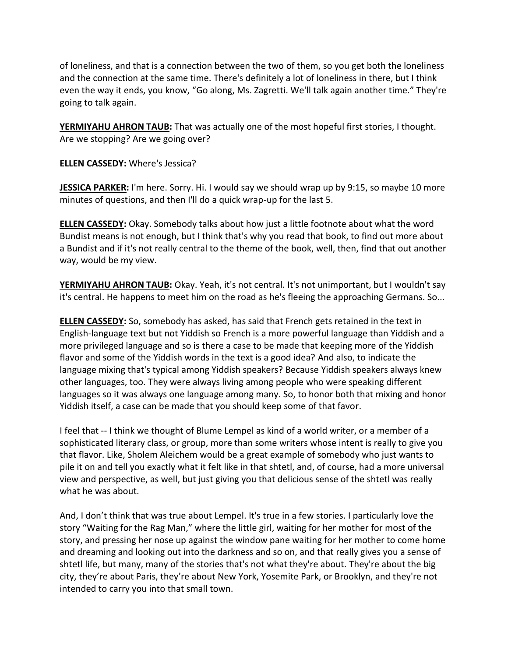of loneliness, and that is a connection between the two of them, so you get both the loneliness and the connection at the same time. There's definitely a lot of loneliness in there, but I think even the way it ends, you know, "Go along, Ms. Zagretti. We'll talk again another time." They're going to talk again.

**YERMIYAHU AHRON TAUB:** That was actually one of the most hopeful first stories, I thought. Are we stopping? Are we going over?

**ELLEN CASSEDY:** Where's Jessica?

**JESSICA PARKER:** I'm here. Sorry. Hi. I would say we should wrap up by 9:15, so maybe 10 more minutes of questions, and then I'll do a quick wrap-up for the last 5.

**ELLEN CASSEDY:** Okay. Somebody talks about how just a little footnote about what the word Bundist means is not enough, but I think that's why you read that book, to find out more about a Bundist and if it's not really central to the theme of the book, well, then, find that out another way, would be my view.

**YERMIYAHU AHRON TAUB:** Okay. Yeah, it's not central. It's not unimportant, but I wouldn't say it's central. He happens to meet him on the road as he's fleeing the approaching Germans. So...

**ELLEN CASSEDY:** So, somebody has asked, has said that French gets retained in the text in English-language text but not Yiddish so French is a more powerful language than Yiddish and a more privileged language and so is there a case to be made that keeping more of the Yiddish flavor and some of the Yiddish words in the text is a good idea? And also, to indicate the language mixing that's typical among Yiddish speakers? Because Yiddish speakers always knew other languages, too. They were always living among people who were speaking different languages so it was always one language among many. So, to honor both that mixing and honor Yiddish itself, a case can be made that you should keep some of that favor.

I feel that -- I think we thought of Blume Lempel as kind of a world writer, or a member of a sophisticated literary class, or group, more than some writers whose intent is really to give you that flavor. Like, Sholem Aleichem would be a great example of somebody who just wants to pile it on and tell you exactly what it felt like in that shtetl, and, of course, had a more universal view and perspective, as well, but just giving you that delicious sense of the shtetl was really what he was about.

And, I don't think that was true about Lempel. It's true in a few stories. I particularly love the story "Waiting for the Rag Man," where the little girl, waiting for her mother for most of the story, and pressing her nose up against the window pane waiting for her mother to come home and dreaming and looking out into the darkness and so on, and that really gives you a sense of shtetl life, but many, many of the stories that's not what they're about. They're about the big city, they're about Paris, they're about New York, Yosemite Park, or Brooklyn, and they're not intended to carry you into that small town.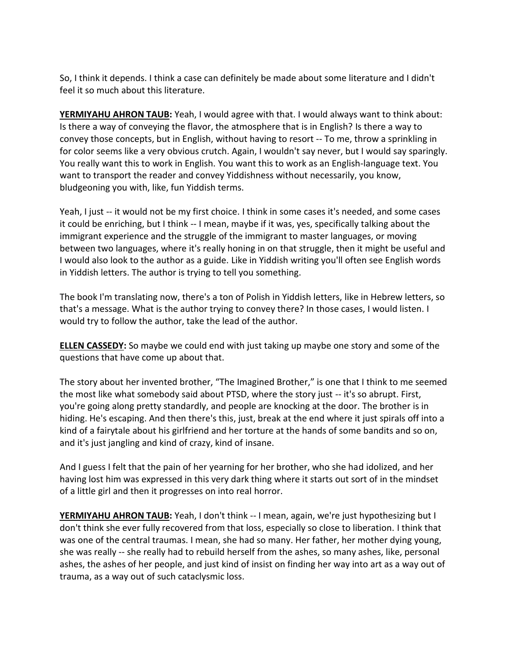So, I think it depends. I think a case can definitely be made about some literature and I didn't feel it so much about this literature.

**YERMIYAHU AHRON TAUB:** Yeah, I would agree with that. I would always want to think about: Is there a way of conveying the flavor, the atmosphere that is in English? Is there a way to convey those concepts, but in English, without having to resort -- To me, throw a sprinkling in for color seems like a very obvious crutch. Again, I wouldn't say never, but I would say sparingly. You really want this to work in English. You want this to work as an English-language text. You want to transport the reader and convey Yiddishness without necessarily, you know, bludgeoning you with, like, fun Yiddish terms.

Yeah, I just -- it would not be my first choice. I think in some cases it's needed, and some cases it could be enriching, but I think -- I mean, maybe if it was, yes, specifically talking about the immigrant experience and the struggle of the immigrant to master languages, or moving between two languages, where it's really honing in on that struggle, then it might be useful and I would also look to the author as a guide. Like in Yiddish writing you'll often see English words in Yiddish letters. The author is trying to tell you something.

The book I'm translating now, there's a ton of Polish in Yiddish letters, like in Hebrew letters, so that's a message. What is the author trying to convey there? In those cases, I would listen. I would try to follow the author, take the lead of the author.

**ELLEN CASSEDY:** So maybe we could end with just taking up maybe one story and some of the questions that have come up about that.

The story about her invented brother, "The Imagined Brother," is one that I think to me seemed the most like what somebody said about PTSD, where the story just -- it's so abrupt. First, you're going along pretty standardly, and people are knocking at the door. The brother is in hiding. He's escaping. And then there's this, just, break at the end where it just spirals off into a kind of a fairytale about his girlfriend and her torture at the hands of some bandits and so on, and it's just jangling and kind of crazy, kind of insane.

And I guess I felt that the pain of her yearning for her brother, who she had idolized, and her having lost him was expressed in this very dark thing where it starts out sort of in the mindset of a little girl and then it progresses on into real horror.

**YERMIYAHU AHRON TAUB:** Yeah, I don't think -- I mean, again, we're just hypothesizing but I don't think she ever fully recovered from that loss, especially so close to liberation. I think that was one of the central traumas. I mean, she had so many. Her father, her mother dying young, she was really -- she really had to rebuild herself from the ashes, so many ashes, like, personal ashes, the ashes of her people, and just kind of insist on finding her way into art as a way out of trauma, as a way out of such cataclysmic loss.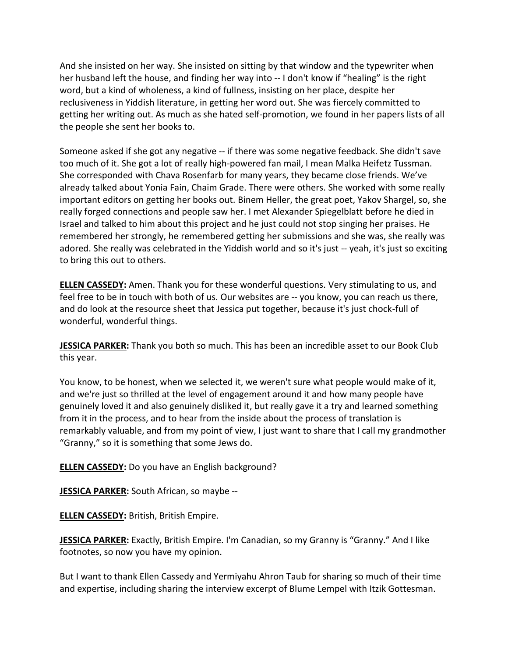And she insisted on her way. She insisted on sitting by that window and the typewriter when her husband left the house, and finding her way into -- I don't know if "healing" is the right word, but a kind of wholeness, a kind of fullness, insisting on her place, despite her reclusiveness in Yiddish literature, in getting her word out. She was fiercely committed to getting her writing out. As much as she hated self-promotion, we found in her papers lists of all the people she sent her books to.

Someone asked if she got any negative -- if there was some negative feedback. She didn't save too much of it. She got a lot of really high-powered fan mail, I mean Malka Heifetz Tussman. She corresponded with Chava Rosenfarb for many years, they became close friends. We've already talked about Yonia Fain, Chaim Grade. There were others. She worked with some really important editors on getting her books out. Binem Heller, the great poet, Yakov Shargel, so, she really forged connections and people saw her. I met Alexander Spiegelblatt before he died in Israel and talked to him about this project and he just could not stop singing her praises. He remembered her strongly, he remembered getting her submissions and she was, she really was adored. She really was celebrated in the Yiddish world and so it's just -- yeah, it's just so exciting to bring this out to others.

**ELLEN CASSEDY:** Amen. Thank you for these wonderful questions. Very stimulating to us, and feel free to be in touch with both of us. Our websites are -- you know, you can reach us there, and do look at the resource sheet that Jessica put together, because it's just chock-full of wonderful, wonderful things.

**JESSICA PARKER:** Thank you both so much. This has been an incredible asset to our Book Club this year.

You know, to be honest, when we selected it, we weren't sure what people would make of it, and we're just so thrilled at the level of engagement around it and how many people have genuinely loved it and also genuinely disliked it, but really gave it a try and learned something from it in the process, and to hear from the inside about the process of translation is remarkably valuable, and from my point of view, I just want to share that I call my grandmother "Granny," so it is something that some Jews do.

**ELLEN CASSEDY:** Do you have an English background?

**JESSICA PARKER:** South African, so maybe --

**ELLEN CASSEDY:** British, British Empire.

**JESSICA PARKER:** Exactly, British Empire. I'm Canadian, so my Granny is "Granny." And I like footnotes, so now you have my opinion.

But I want to thank Ellen Cassedy and Yermiyahu Ahron Taub for sharing so much of their time and expertise, including sharing the interview excerpt of Blume Lempel with Itzik Gottesman.